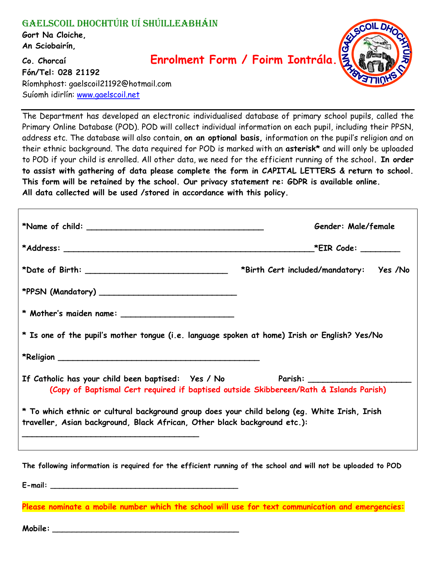## Gaelscoil Dhochtúir Uí Shúilleabháin

**Gort Na Cloiche, An Sciobairín,** 

## **Co. Chorcaí Enrolment Form / Foirm Iontrála.**



**Fón/Tel: 028 21192** Ríomhphost: gaelscoil21192@hotmail.com Suíomh idirlín: [www.gaelscoil.net](http://www.gaelscoil.net/)

The Department has developed an electronic individualised database of primary school pupils, called the Primary Online Database (POD). POD will collect individual information on each pupil, including their PPSN, address etc. The database will also contain, **on an optional basis,** information on the pupil's religion and on their ethnic background. The data required for POD is marked with an **asterisk\*** and will only be uploaded to POD if your child is enrolled. All other data, we need for the efficient running of the school**. In order to assist with gathering of data please complete the form in CAPITAL LETTERS & return to school. This form will be retained by the school. Our privacy statement re: GDPR is available online. All data collected will be used /stored in accordance with this policy.**

|                                                                                                                                                                            | Gender: Male/female                     |  |  |
|----------------------------------------------------------------------------------------------------------------------------------------------------------------------------|-----------------------------------------|--|--|
|                                                                                                                                                                            |                                         |  |  |
|                                                                                                                                                                            | *Birth Cert included/mandatory: Yes /No |  |  |
|                                                                                                                                                                            |                                         |  |  |
|                                                                                                                                                                            |                                         |  |  |
| * Is one of the pupil's mother tongue (i.e. language spoken at home) Irish or English? Yes/No                                                                              |                                         |  |  |
|                                                                                                                                                                            |                                         |  |  |
| If Catholic has your child been baptised: Yes / No Parish: _____________________<br>(Copy of Baptismal Cert required if baptised outside Skibbereen/Rath & Islands Parish) |                                         |  |  |
| * To which ethnic or cultural background group does your child belong (eg. White Irish, Irish<br>traveller, Asian background, Black African, Other black background etc.): |                                         |  |  |

**The following information is required for the efficient running of the school and will not be uploaded to POD**

**E-mail: \_\_\_\_\_\_\_\_\_\_\_\_\_\_\_\_\_\_\_\_\_\_\_\_\_\_\_\_\_\_\_\_\_\_\_\_\_\_\_\_\_\_**

**Please nominate a mobile number which the school will use for text communication and emergencies:**

 $$